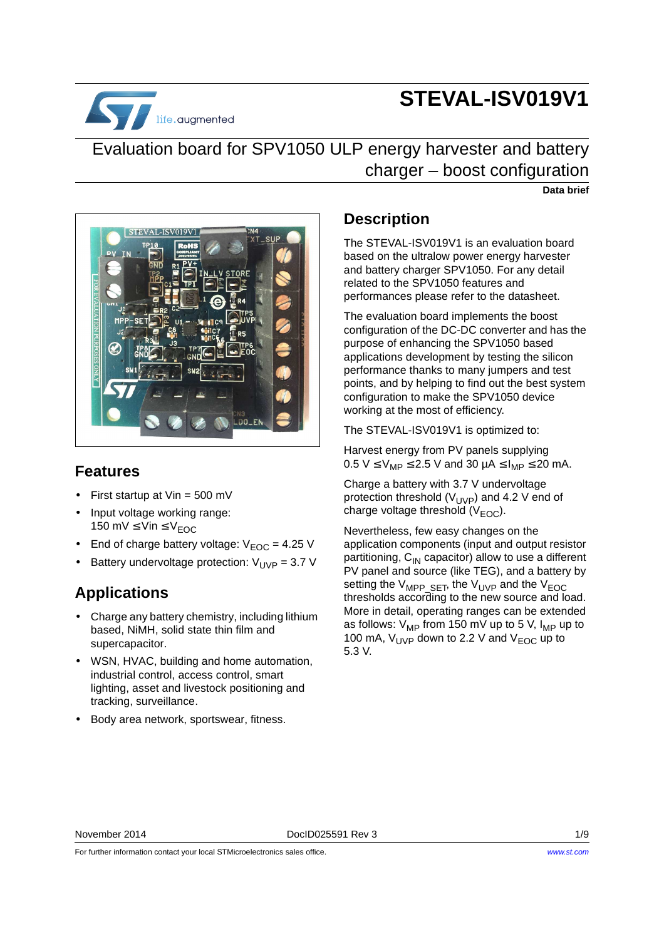

## **STEVAL-ISV019V1**

Evaluation board for SPV1050 ULP energy harvester and battery charger – boost configuration





#### **Features**

- First startup at  $V$ in = 500 mV
- Input voltage working range: 150 mV  $\leq$  Vin  $\leq$  V<sub>FOC</sub>
- End of charge battery voltage:  $V_{\text{FOC}} = 4.25$  V
- Battery undervoltage protection:  $V_{UVP} = 3.7 V$

### **Applications**

- Charge any battery chemistry, including lithium based, NiMH, solid state thin film and supercapacitor.
- WSN, HVAC, building and home automation, industrial control, access control, smart lighting, asset and livestock positioning and tracking, surveillance.
- Body area network, sportswear, fitness.

#### **Description**

The STEVAL-ISV019V1 is an evaluation board based on the ultralow power energy harvester and battery charger SPV1050. For any detail related to the SPV1050 features and performances please refer to the datasheet.

The evaluation board implements the boost configuration of the DC-DC converter and has the purpose of enhancing the SPV1050 based applications development by testing the silicon performance thanks to many jumpers and test points, and by helping to find out the best system configuration to make the SPV1050 device working at the most of efficiency.

The STEVAL-ISV019V1 is optimized to:

Harvest energy from PV panels supplying  $0.5$  V  $\leq$  V<sub>MP</sub>  $\leq$  2.5 V and 30  $\mu$ A  $\leq$  I<sub>MP</sub>  $\leq$  20 mA.

Charge a battery with 3.7 V undervoltage protection threshold ( $V_{\text{UVP}}$ ) and 4.2 V end of charge voltage threshold  $(V_{EOC})$ .

Nevertheless, few easy changes on the application components (input and output resistor partitioning,  $C_{IN}$  capacitor) allow to use a different PV panel and source (like TEG), and a battery by setting the  $V_{\text{MPP}}$  set, the  $V_{\text{UVP}}$  and the  $V_{\text{EOC}}$ thresholds according to the new source and load. More in detail, operating ranges can be extended as follows:  $V_{MP}$  from 150 mV up to 5 V,  $I_{MP}$  up to 100 mA,  $V_{LIVP}$  down to 2.2 V and  $V_{FOC}$  up to 5.3 V.

November 2014 DocID025591 Rev 3 1/9

For further information contact your local STMicroelectronics sales office.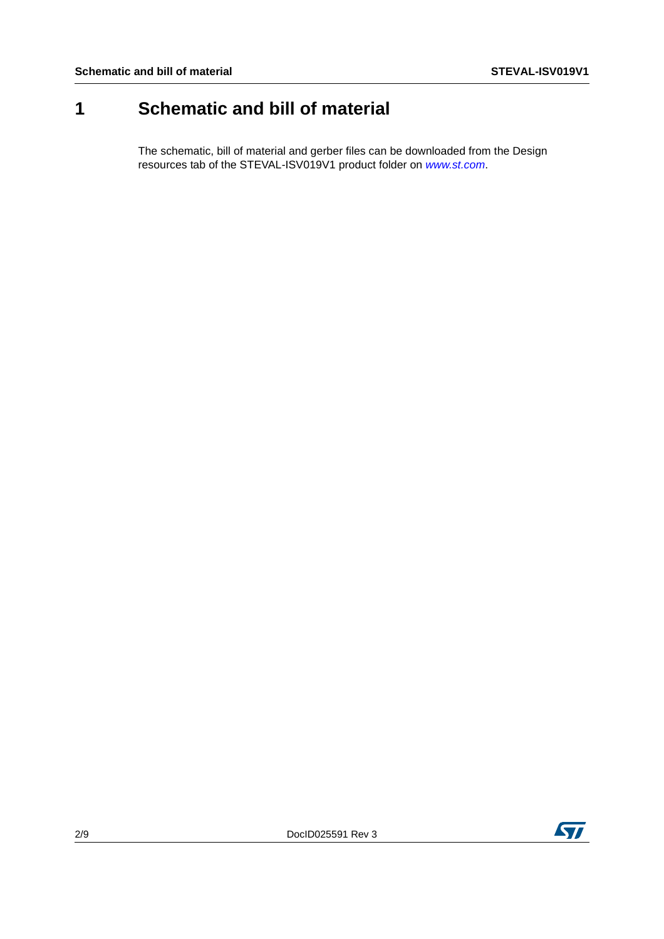## <span id="page-1-0"></span>**1 Schematic and bill of material**

The schematic, bill of material and gerber files can be downloaded from the Design resources tab of the STEVAL-ISV019V1 product folder on www.st.com.

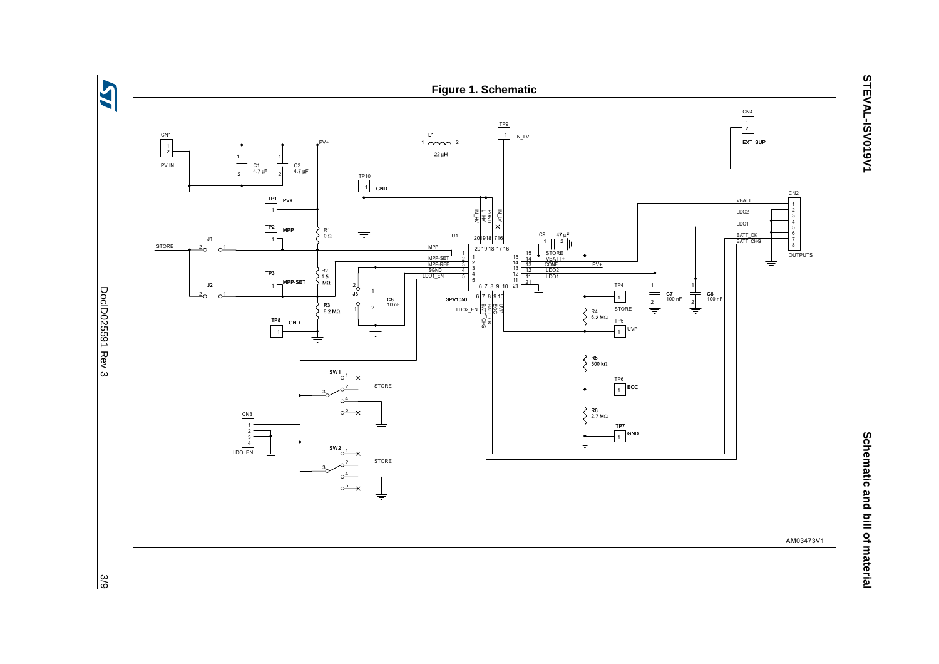

# **STEVAL-ISV019V1 STEVAL-ISV019V1**

Schematic and bill of material **Schematic and bill of material**

<span id="page-2-0"></span>3/9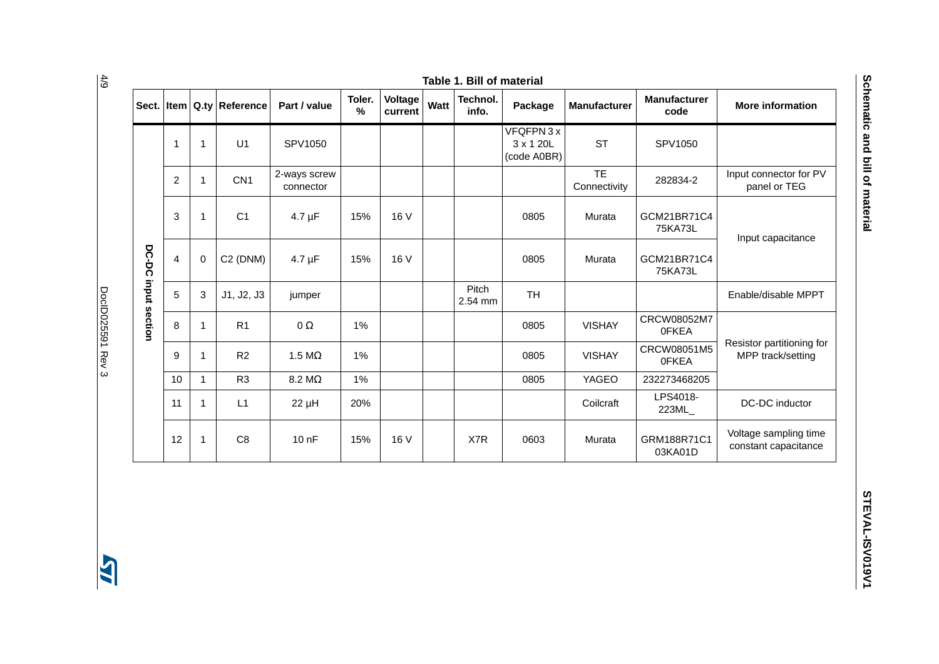| 4/9                   |              | Table 1. Bill of material |              |                                 |                           |                         |                           |      |                   |                                      |                           |                             |                                                |
|-----------------------|--------------|---------------------------|--------------|---------------------------------|---------------------------|-------------------------|---------------------------|------|-------------------|--------------------------------------|---------------------------|-----------------------------|------------------------------------------------|
|                       |              |                           |              | Sect.   Item   Q.ty   Reference | Part / value              | Toler.<br>$\frac{9}{6}$ | <b>Voltage</b><br>current | Watt | Technol.<br>info. | Package                              | <b>Manufacturer</b>       | <b>Manufacturer</b><br>code | <b>More information</b>                        |
|                       |              | 1                         | 1            | U1                              | SPV1050                   |                         |                           |      |                   | VFQFPN3x<br>3 x 1 20L<br>(code A0BR) | <b>ST</b>                 | SPV1050                     |                                                |
|                       |              | $\overline{2}$            | 1            | CN <sub>1</sub>                 | 2-ways screw<br>connector |                         |                           |      |                   |                                      | <b>TE</b><br>Connectivity | 282834-2                    | Input connector for PV<br>panel or TEG         |
|                       |              | 3                         | 1            | C <sub>1</sub>                  | $4.7 \mu F$               | 15%                     | 16 V                      |      |                   | 0805                                 | Murata                    | GCM21BR71C4<br>75KA73L      | Input capacitance                              |
|                       | <b>DC-DC</b> | $\overline{4}$            | $\mathbf 0$  | C <sub>2</sub> (DNM)            | $4.7 \mu F$               | 15%                     | 16 V                      |      |                   | 0805                                 | Murata                    | GCM21BR71C4<br>75KA73L      |                                                |
| <b>DoclD02591 Rev</b> | inqni        | 5                         | $\mathbf{3}$ | J1, J2, J3                      | jumper                    |                         |                           |      | Pitch<br>2.54 mm  | <b>TH</b>                            |                           |                             | Enable/disable MPPT                            |
|                       | section      | 8                         | 1            | R <sub>1</sub>                  | 0 $\Omega$                | 1%                      |                           |      |                   | 0805                                 | <b>VISHAY</b>             | CRCW08052M7<br>0FKEA        |                                                |
|                       |              | 9                         | 1            | R <sub>2</sub>                  | 1.5 $M\Omega$             | 1%                      |                           |      |                   | 0805                                 | <b>VISHAY</b>             | CRCW08051M5<br>0FKEA        | Resistor partitioning for<br>MPP track/setting |
| $\omega$              |              | 10                        | 1            | R <sub>3</sub>                  | $8.2 M\Omega$             | 1%                      |                           |      |                   | 0805                                 | YAGEO                     | 232273468205                |                                                |
|                       |              | 11                        | 1            | L1                              | $22 \mu H$                | 20%                     |                           |      |                   |                                      | Coilcraft                 | LPS4018-<br>223ML_          | DC-DC inductor                                 |
|                       |              | 12                        | 1            | C <sub>8</sub>                  | 10nF                      | 15%                     | 16 V                      |      | X7R               | 0603                                 | Murata                    | GRM188R71C1<br>03KA01D      | Voltage sampling time<br>constant capacitance  |

4/9

**Schematic and bill of material**

Schematic and bill of material

<span id="page-3-0"></span> $\overline{\mathbf{A}}$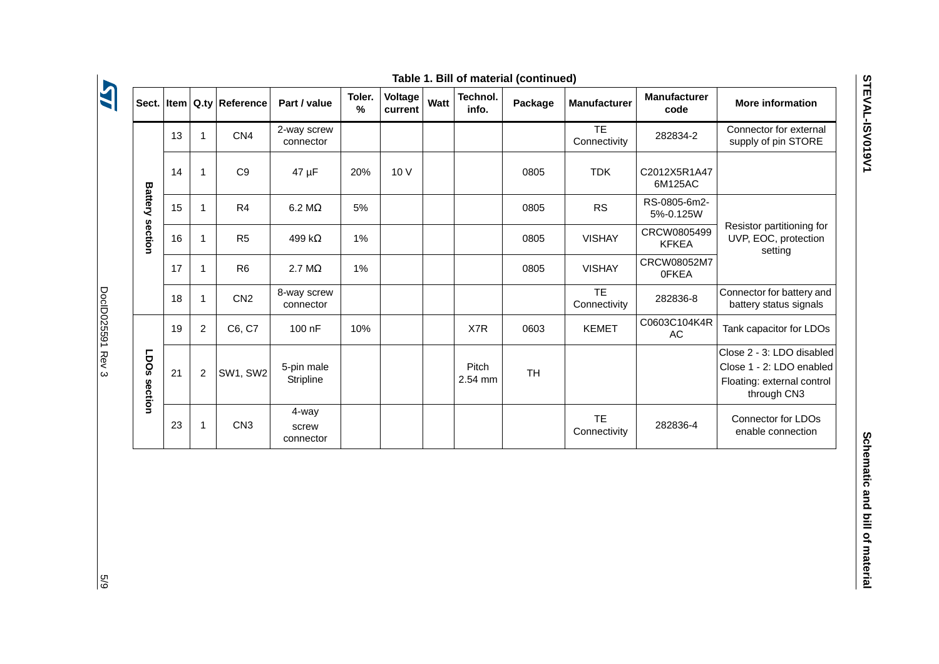|                           | Table 1. Bill of material (continued) |                |                         |                             |                |                    |      |                   |           |                           |                             |                                                                                                    |
|---------------------------|---------------------------------------|----------------|-------------------------|-----------------------------|----------------|--------------------|------|-------------------|-----------|---------------------------|-----------------------------|----------------------------------------------------------------------------------------------------|
| Sect.                     |                                       |                | Item   Q.ty   Reference | Part / value                | Toler.<br>$\%$ | Voltage<br>current | Watt | Technol.<br>info. | Package   | <b>Manufacturer</b>       | <b>Manufacturer</b><br>code | <b>More information</b>                                                                            |
| <b>Battery</b><br>section | 13                                    |                | CN <sub>4</sub>         | 2-way screw<br>connector    |                |                    |      |                   |           | <b>TE</b><br>Connectivity | 282834-2                    | Connector for external<br>supply of pin STORE                                                      |
|                           | 14                                    |                | C <sub>9</sub>          | 47 µF                       | 20%            | 10 V               |      |                   | 0805      | <b>TDK</b>                | C2012X5R1A47<br>6M125AC     |                                                                                                    |
|                           | 15                                    |                | R <sub>4</sub>          | 6.2 M $\Omega$              | 5%             |                    |      |                   | 0805      | <b>RS</b>                 | RS-0805-6m2-<br>5%-0.125W   | Resistor partitioning for<br>UVP, EOC, protection<br>setting                                       |
|                           | 16                                    |                | R <sub>5</sub>          | 499 k $\Omega$              | 1%             |                    |      |                   | 0805      | <b>VISHAY</b>             | CRCW0805499<br><b>KFKEA</b> |                                                                                                    |
|                           | 17                                    |                | R <sub>6</sub>          | 2.7 M $\Omega$              | 1%             |                    |      |                   | 0805      | <b>VISHAY</b>             | CRCW08052M7<br>0FKEA        |                                                                                                    |
|                           | 18                                    |                | CN <sub>2</sub>         | 8-way screw<br>connector    |                |                    |      |                   |           | <b>TE</b><br>Connectivity | 282836-8                    | Connector for battery and<br>battery status signals                                                |
| <b>LDOS</b><br>section    | 19                                    | $\overline{2}$ | C6, C7                  | 100 nF                      | 10%            |                    |      | X7R               | 0603      | <b>KEMET</b>              | C0603C104K4R<br>AC          | Tank capacitor for LDOs                                                                            |
|                           | 21                                    | 2              | SW1, SW2                | 5-pin male<br>Stripline     |                |                    |      | Pitch<br>2.54 mm  | <b>TH</b> |                           |                             | Close 2 - 3: LDO disabled<br>Close 1 - 2: LDO enabled<br>Floating: external control<br>through CN3 |
|                           | 23                                    |                | CN <sub>3</sub>         | 4-way<br>screw<br>connector |                |                    |      |                   |           | <b>TE</b><br>Connectivity | 282836-4                    | Connector for LDOs<br>enable connection                                                            |

#### **Table 1. Bill of material (continued)**

**DoclD025591 Rev 3** DocID025591 Rev 3

**AV** 

**STEVAL-ISV019V1 STEVAL-ISV019V1**

> Schematic and bill of material **Schematic and bill of material**

5/9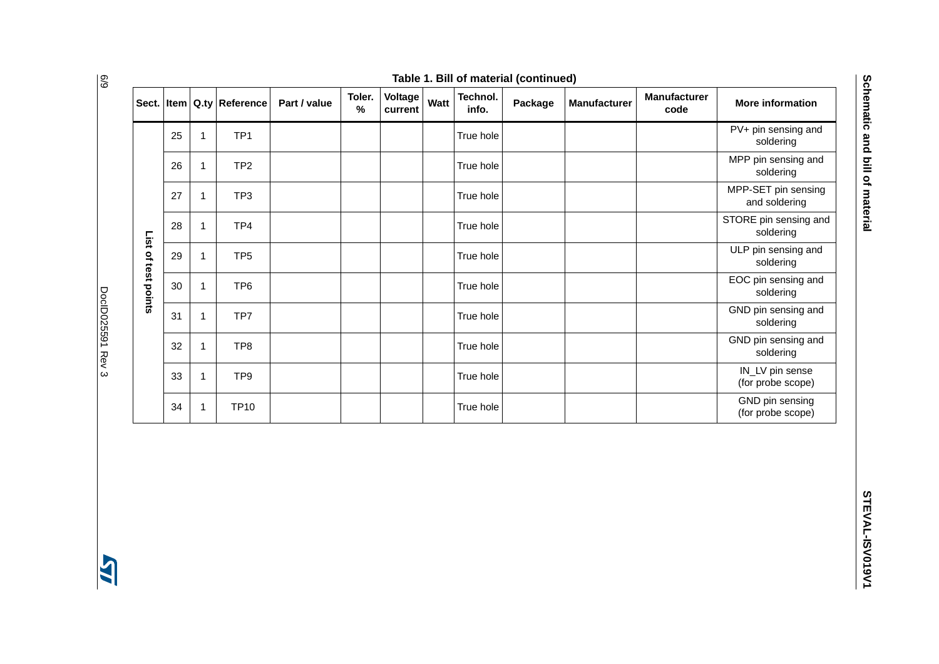|                     | <b>Table 1. Dill Of Inaterial (COntinueu)</b> |   |                                 |              |                |                    |      |                   |         |              |                             |                                      |
|---------------------|-----------------------------------------------|---|---------------------------------|--------------|----------------|--------------------|------|-------------------|---------|--------------|-----------------------------|--------------------------------------|
|                     |                                               |   | Sect.   Item   Q.ty   Reference | Part / value | Toler.<br>$\%$ | Voltage<br>current | Watt | Technol.<br>info. | Package | Manufacturer | <b>Manufacturer</b><br>code | <b>More information</b>              |
|                     | 25                                            |   | TP <sub>1</sub>                 |              |                |                    |      | True hole         |         |              |                             | PV+ pin sensing and<br>soldering     |
|                     | 26                                            |   | TP <sub>2</sub>                 |              |                |                    |      | True hole         |         |              |                             | MPP pin sensing and<br>soldering     |
|                     | 27                                            | 1 | TP <sub>3</sub>                 |              |                |                    |      | True hole         |         |              |                             | MPP-SET pin sensing<br>and soldering |
|                     | 28                                            | 1 | TP4                             |              |                |                    |      | True hole         |         |              |                             | STORE pin sensing and<br>soldering   |
| List of test points | 29                                            |   | TP <sub>5</sub>                 |              |                |                    |      | True hole         |         |              |                             | ULP pin sensing and<br>soldering     |
|                     | 30                                            |   | TP <sub>6</sub>                 |              |                |                    |      | True hole         |         |              |                             | EOC pin sensing and<br>soldering     |
|                     | 31                                            |   | TP7                             |              |                |                    |      | True hole         |         |              |                             | GND pin sensing and<br>soldering     |
|                     | 32                                            | 1 | TP8                             |              |                |                    |      | True hole         |         |              |                             | GND pin sensing and<br>soldering     |
|                     | 33                                            | 1 | TP <sub>9</sub>                 |              |                |                    |      | True hole         |         |              |                             | IN_LV pin sense<br>(for probe scope) |
|                     | 34                                            |   | <b>TP10</b>                     |              |                |                    |      | True hole         |         |              |                             | GND pin sensing<br>(for probe scope) |

#### **Table 1. Bill of material (continued)**

**Schematic and bill of material**

Schematic and bill of material

S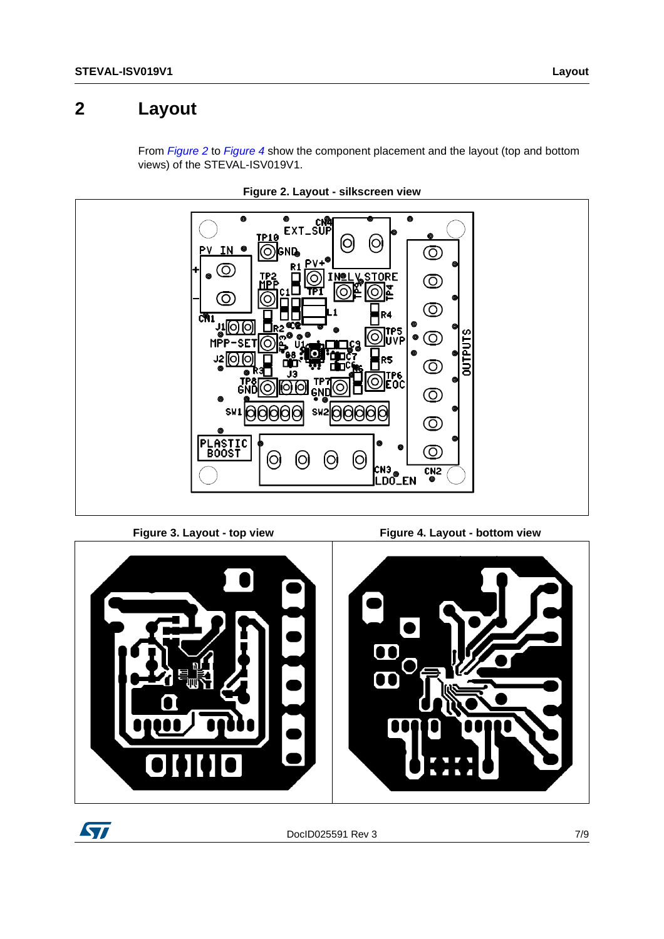## **2 Layout**

From [Figure 2](#page-6-0) to [Figure 4](#page-6-1) show the component placement and the layout (top and bottom views) of the STEVAL-ISV019V1.

<span id="page-6-0"></span>

**Figure 2. Layout - silkscreen view**

<span id="page-6-1"></span>Figure 3. Layout - top view

Figure 4. Layout - bottom view



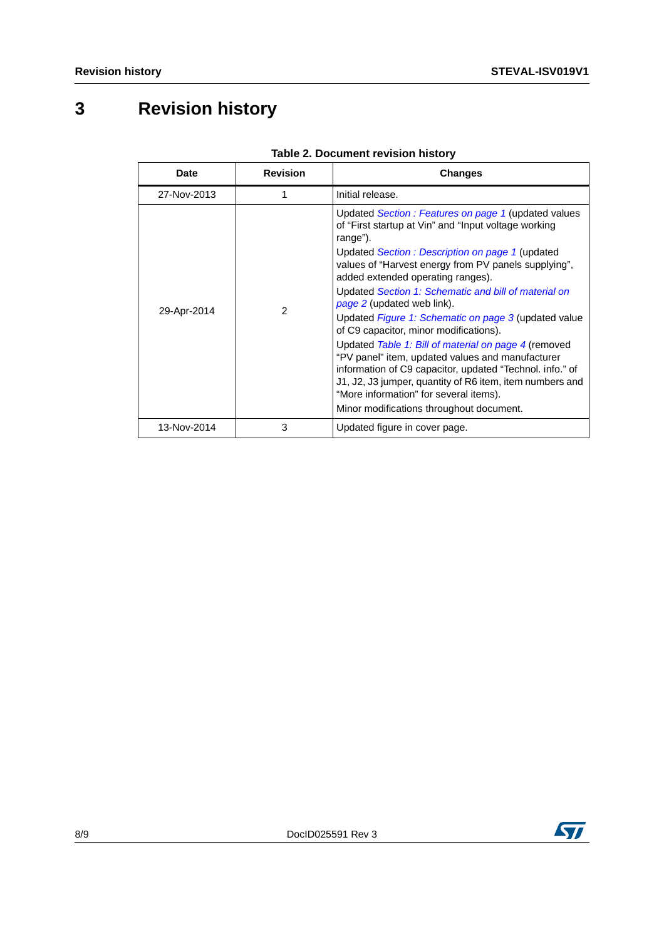## **3 Revision history**

| <b>Date</b> | <b>Revision</b> | <b>Changes</b>                                                                                                                                                                                                                                                                                                                                                                                                                                                                                                                                                                                                                                                                                                                                                                            |
|-------------|-----------------|-------------------------------------------------------------------------------------------------------------------------------------------------------------------------------------------------------------------------------------------------------------------------------------------------------------------------------------------------------------------------------------------------------------------------------------------------------------------------------------------------------------------------------------------------------------------------------------------------------------------------------------------------------------------------------------------------------------------------------------------------------------------------------------------|
| 27-Nov-2013 |                 | Initial release.                                                                                                                                                                                                                                                                                                                                                                                                                                                                                                                                                                                                                                                                                                                                                                          |
| 29-Apr-2014 | 2               | Updated Section: Features on page 1 (updated values<br>of "First startup at Vin" and "Input voltage working<br>range").<br>Updated Section: Description on page 1 (updated<br>values of "Harvest energy from PV panels supplying",<br>added extended operating ranges).<br>Updated Section 1: Schematic and bill of material on<br>page 2 (updated web link).<br>Updated Figure 1: Schematic on page 3 (updated value<br>of C9 capacitor, minor modifications).<br>Updated Table 1: Bill of material on page 4 (removed<br>"PV panel" item, updated values and manufacturer<br>information of C9 capacitor, updated "Technol. info." of<br>J1, J2, J3 jumper, quantity of R6 item, item numbers and<br>"More information" for several items).<br>Minor modifications throughout document. |
| 13-Nov-2014 | 3               | Updated figure in cover page.                                                                                                                                                                                                                                                                                                                                                                                                                                                                                                                                                                                                                                                                                                                                                             |

#### **Table 2. Document revision history**